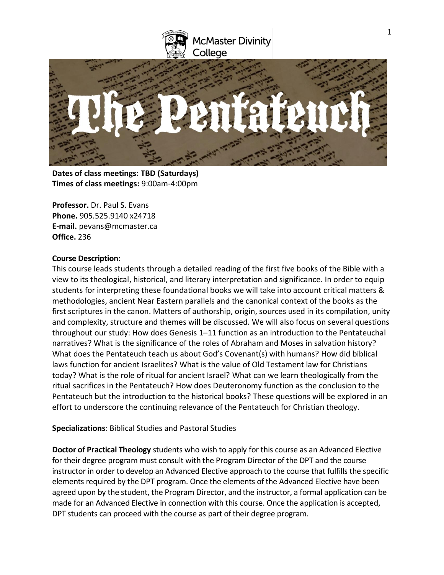



**Dates of class meetings: TBD (Saturdays) Times of class meetings:** 9:00am-4:00pm

**Professor.** Dr. Paul S. Evans **Phone.** 905.525.9140 x24718 **E-mail.** pevans@mcmaster.ca **Office.** 236

### **Course Description:**

This course leads students through a detailed reading of the first five books of the Bible with a view to its theological, historical, and literary interpretation and significance. In order to equip students for interpreting these foundational books we will take into account critical matters & methodologies, ancient Near Eastern parallels and the canonical context of the books as the first scriptures in the canon. Matters of authorship, origin, sources used in its compilation, unity and complexity, structure and themes will be discussed. We will also focus on several questions throughout our study: How does Genesis 1–11 function as an introduction to the Pentateuchal narratives? What is the significance of the roles of Abraham and Moses in salvation history? What does the Pentateuch teach us about God's Covenant(s) with humans? How did biblical laws function for ancient Israelites? What is the value of Old Testament law for Christians today? What is the role of ritual for ancient Israel? What can we learn theologically from the ritual sacrifices in the Pentateuch? How does Deuteronomy function as the conclusion to the Pentateuch but the introduction to the historical books? These questions will be explored in an effort to underscore the continuing relevance of the Pentateuch for Christian theology.

**Specializations**: Biblical Studies and Pastoral Studies

**Doctor of Practical Theology** students who wish to apply for this course as an Advanced Elective for their degree program must consult with the Program Director of the DPT and the course instructor in order to develop an Advanced Elective approach to the course that fulfills the specific elements required by the DPT program. Once the elements of the Advanced Elective have been agreed upon by the student, the Program Director, and the instructor, a formal application can be made for an Advanced Elective in connection with this course. Once the application is accepted, DPT students can proceed with the course as part of their degree program.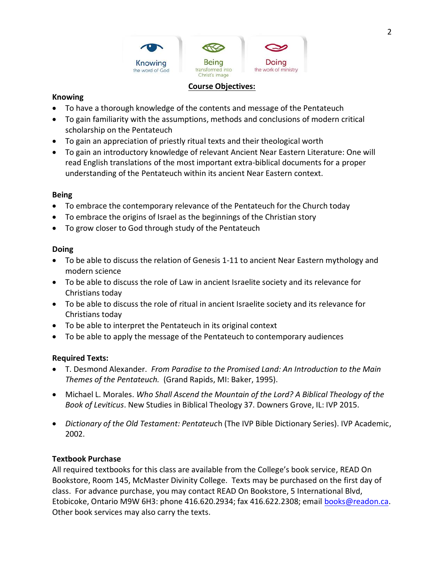

### **Course Objectives:**

### **Knowing**

- To have a thorough knowledge of the contents and message of the Pentateuch
- To gain familiarity with the assumptions, methods and conclusions of modern critical scholarship on the Pentateuch
- To gain an appreciation of priestly ritual texts and their theological worth
- To gain an introductory knowledge of relevant Ancient Near Eastern Literature: One will read English translations of the most important extra-biblical documents for a proper understanding of the Pentateuch within its ancient Near Eastern context.

# **Being**

- To embrace the contemporary relevance of the Pentateuch for the Church today
- To embrace the origins of Israel as the beginnings of the Christian story
- To grow closer to God through study of the Pentateuch

### **Doing**

- To be able to discuss the relation of Genesis 1-11 to ancient Near Eastern mythology and modern science
- To be able to discuss the role of Law in ancient Israelite society and its relevance for Christians today
- To be able to discuss the role of ritual in ancient Israelite society and its relevance for Christians today
- To be able to interpret the Pentateuch in its original context
- To be able to apply the message of the Pentateuch to contemporary audiences

# **Required Texts:**

- T. Desmond Alexander. *From Paradise to the Promised Land: An Introduction to the Main Themes of the Pentateuch.* (Grand Rapids, MI: Baker, 1995).
- Michael L. Morales. *Who Shall Ascend the Mountain of the Lord? A Biblical Theology of the Book of Leviticus*. New Studies in Biblical Theology 37. Downers Grove, IL: IVP 2015.
- *Dictionary of the Old Testament: Pentateuc*h (The IVP Bible Dictionary Series). IVP Academic, 2002.

# **Textbook Purchase**

All required textbooks for this class are available from the College's book service, READ On Bookstore, Room 145, McMaster Divinity College. Texts may be purchased on the first day of class. For advance purchase, you may contact READ On Bookstore, 5 International Blvd, Etobicoke, Ontario M9W 6H3: phone 416.620.2934; fax 416.622.2308; email [books@readon.ca.](mailto:books@readon.ca) Other book services may also carry the texts.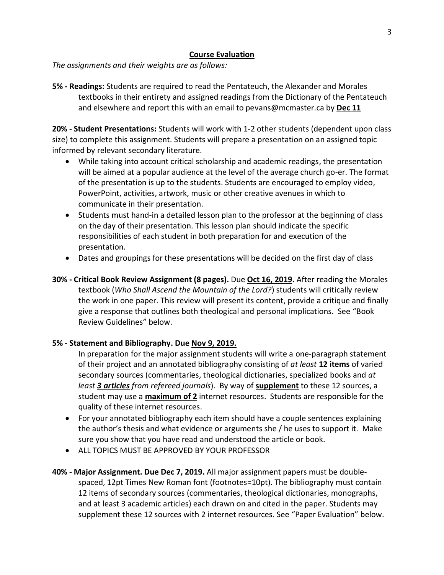### **Course Evaluation**

*The assignments and their weights are as follows:*

**5% - Readings:** Students are required to read the Pentateuch, the Alexander and Morales textbooks in their entirety and assigned readings from the Dictionary of the Pentateuch and elsewhere and report this with an email to pevans@mcmaster.ca by **Dec 11**

**20% - Student Presentations:** Students will work with 1-2 other students (dependent upon class size) to complete this assignment. Students will prepare a presentation on an assigned topic informed by relevant secondary literature.

- While taking into account critical scholarship and academic readings, the presentation will be aimed at a popular audience at the level of the average church go-er. The format of the presentation is up to the students. Students are encouraged to employ video, PowerPoint, activities, artwork, music or other creative avenues in which to communicate in their presentation.
- Students must hand-in a detailed lesson plan to the professor at the beginning of class on the day of their presentation. This lesson plan should indicate the specific responsibilities of each student in both preparation for and execution of the presentation.
- Dates and groupings for these presentations will be decided on the first day of class
- **30% - Critical Book Review Assignment (8 pages).** Due **Oct 16, 2019.** After reading the Morales textbook (*Who Shall Ascend the Mountain of the Lord?*) students will critically review the work in one paper. This review will present its content, provide a critique and finally give a response that outlines both theological and personal implications. See "Book Review Guidelines" below.

# **5% - Statement and Bibliography. Due Nov 9, 2019.**

In preparation for the major assignment students will write a one-paragraph statement of their project and an annotated bibliography consisting of *at least* **12 items** of varied secondary sources (commentaries, theological dictionaries, specialized books and *at least 3 articles from refereed journals*). By way of **supplement** to these 12 sources, a student may use a **maximum of 2** internet resources. Students are responsible for the quality of these internet resources.

- For your annotated bibliography each item should have a couple sentences explaining the author's thesis and what evidence or arguments she / he uses to support it. Make sure you show that you have read and understood the article or book.
- ALL TOPICS MUST BE APPROVED BY YOUR PROFESSOR
- **40% - Major Assignment. Due Dec 7, 2019.** All major assignment papers must be doublespaced, 12pt Times New Roman font (footnotes=10pt). The bibliography must contain 12 items of secondary sources (commentaries, theological dictionaries, monographs, and at least 3 academic articles) each drawn on and cited in the paper. Students may supplement these 12 sources with 2 internet resources. See "Paper Evaluation" below.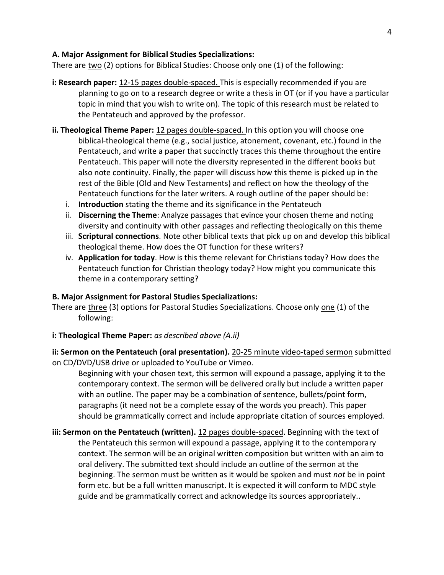## **A. Major Assignment for Biblical Studies Specializations:**

There are two (2) options for Biblical Studies: Choose only one (1) of the following:

- **i: Research paper:** 12-15 pages double-spaced. This is especially recommended if you are planning to go on to a research degree or write a thesis in OT (or if you have a particular topic in mind that you wish to write on). The topic of this research must be related to the Pentateuch and approved by the professor.
- **ii. Theological Theme Paper:** 12 pages double-spaced. In this option you will choose one biblical-theological theme (e.g., social justice, atonement, covenant, etc.) found in the Pentateuch, and write a paper that succinctly traces this theme throughout the entire Pentateuch. This paper will note the diversity represented in the different books but also note continuity. Finally, the paper will discuss how this theme is picked up in the rest of the Bible (Old and New Testaments) and reflect on how the theology of the Pentateuch functions for the later writers. A rough outline of the paper should be:
	- i. **Introduction** stating the theme and its significance in the Pentateuch
	- ii. **Discerning the Theme**: Analyze passages that evince your chosen theme and noting diversity and continuity with other passages and reflecting theologically on this theme
	- iii. **Scriptural connections**. Note other biblical texts that pick up on and develop this biblical theological theme. How does the OT function for these writers?
	- iv. **Application for today**. How is this theme relevant for Christians today? How does the Pentateuch function for Christian theology today? How might you communicate this theme in a contemporary setting?

# **B. Major Assignment for Pastoral Studies Specializations:**

There are three (3) options for Pastoral Studies Specializations. Choose only one (1) of the following:

# **i: Theological Theme Paper:** *as described above (A.ii)*

**ii: Sermon on the Pentateuch (oral presentation).** 20-25 minute video-taped sermon submitted on CD/DVD/USB drive or uploaded to YouTube or Vimeo.

Beginning with your chosen text, this sermon will expound a passage, applying it to the contemporary context. The sermon will be delivered orally but include a written paper with an outline. The paper may be a combination of sentence, bullets/point form, paragraphs (it need not be a complete essay of the words you preach). This paper should be grammatically correct and include appropriate citation of sources employed.

**iii: Sermon on the Pentateuch (written).** 12 pages double-spaced. Beginning with the text of the Pentateuch this sermon will expound a passage, applying it to the contemporary context. The sermon will be an original written composition but written with an aim to oral delivery. The submitted text should include an outline of the sermon at the beginning. The sermon must be written as it would be spoken and must *not* be in point form etc. but be a full written manuscript. It is expected it will conform to MDC style guide and be grammatically correct and acknowledge its sources appropriately..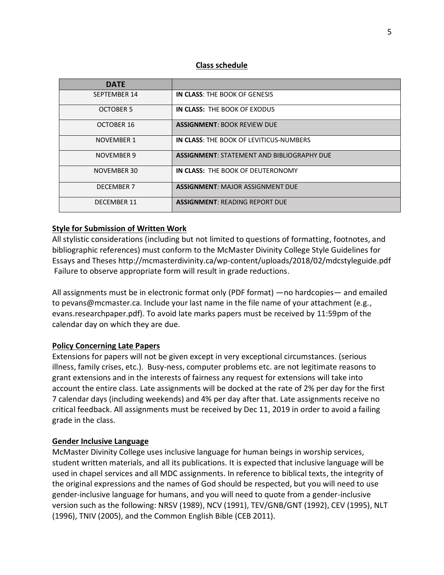### **Class schedule**

| <b>DATF</b>        |                                                |
|--------------------|------------------------------------------------|
| SEPTEMBER 14       | IN CLASS: THE BOOK OF GENESIS                  |
| <b>OCTOBER 5</b>   | IN CLASS: THE BOOK OF EXODUS                   |
| OCTOBER 16         | <b>ASSIGNMENT: BOOK REVIEW DUE</b>             |
| <b>NOVEMBER 1</b>  | <b>IN CLASS: THE BOOK OF LEVITICUS-NUMBERS</b> |
| NOVEMBER 9         | ASSIGNMENT: STATEMENT AND BIBLIOGRAPHY DUE     |
| <b>NOVEMBER 30</b> | IN CLASS: THE BOOK OF DEUTERONOMY              |
| <b>DECEMBER 7</b>  | <b>ASSIGNMENT: MAJOR ASSIGNMENT DUE</b>        |
| <b>DECEMBER 11</b> | <b>ASSIGNMENT: READING REPORT DUE</b>          |

### **Style for Submission of Written Work**

All stylistic considerations (including but not limited to questions of formatting, footnotes, and bibliographic references) must conform to the McMaster Divinity College Style Guidelines for Essays and Theses http://mcmasterdivinity.ca/wp-content/uploads/2018/02/mdcstyleguide.pdf Failure to observe appropriate form will result in grade reductions.

All assignments must be in electronic format only (PDF format) —no hardcopies— and emailed to pevans@mcmaster.ca. Include your last name in the file name of your attachment (e.g., evans.researchpaper.pdf). To avoid late marks papers must be received by 11:59pm of the calendar day on which they are due.

# **Policy Concerning Late Papers**

Extensions for papers will not be given except in very exceptional circumstances. (serious illness, family crises, etc.). Busy-ness, computer problems etc. are not legitimate reasons to grant extensions and in the interests of fairness any request for extensions will take into account the entire class. Late assignments will be docked at the rate of 2% per day for the first 7 calendar days (including weekends) and 4% per day after that. Late assignments receive no critical feedback. All assignments must be received by Dec 11, 2019 in order to avoid a failing grade in the class.

# **Gender Inclusive Language**

McMaster Divinity College uses inclusive language for human beings in worship services, student written materials, and all its publications. It is expected that inclusive language will be used in chapel services and all MDC assignments. In reference to biblical texts, the integrity of the original expressions and the names of God should be respected, but you will need to use gender-inclusive language for humans, and you will need to quote from a gender-inclusive version such as the following: NRSV (1989), NCV (1991), TEV/GNB/GNT (1992), CEV (1995), NLT (1996), TNIV (2005), and the Common English Bible (CEB 2011).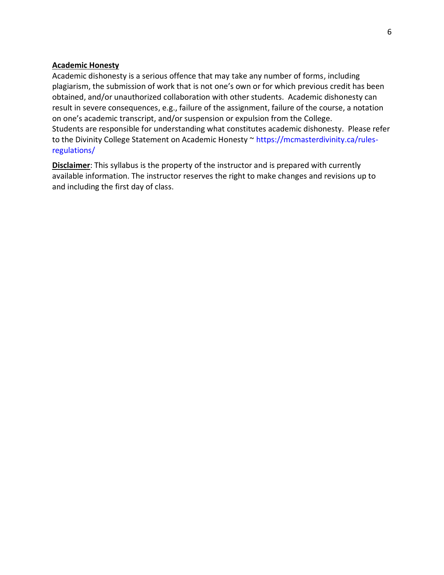### **Academic Honesty**

Academic dishonesty is a serious offence that may take any number of forms, including plagiarism, the submission of work that is not one's own or for which previous credit has been obtained, and/or unauthorized collaboration with other students. Academic dishonesty can result in severe consequences, e.g., failure of the assignment, failure of the course, a notation on one's academic transcript, and/or suspension or expulsion from the College. Students are responsible for understanding what constitutes academic dishonesty. Please refer to the Divinity College Statement on Academic Honesty ~ [https://mcmasterdivinity.ca/rules](https://mcmasterdivinity.ca/rules-regulations/)[regulations/](https://mcmasterdivinity.ca/rules-regulations/)

**Disclaimer**: This syllabus is the property of the instructor and is prepared with currently available information. The instructor reserves the right to make changes and revisions up to and including the first day of class.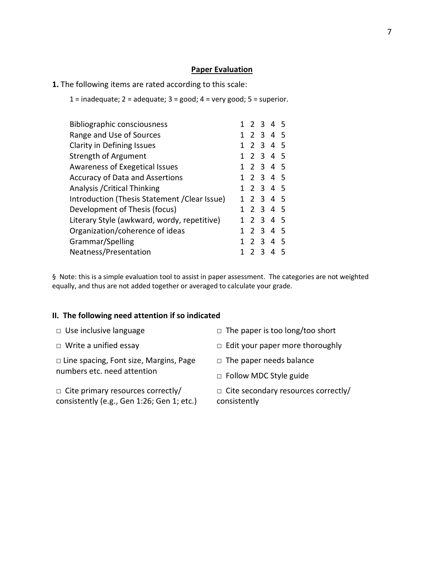#### **Paper Evaluation**

- **1.** The following items are rated according to this scale:
	- $1 =$  inadequate;  $2 =$  adequate;  $3 =$  good;  $4 =$  very good;  $5 =$  superior.

| <b>Bibliographic consciousness</b>            |  |         |   | 1 2 3 4 5      |    |
|-----------------------------------------------|--|---------|---|----------------|----|
| Range and Use of Sources                      |  |         |   | 1 2 3 4 5      |    |
| <b>Clarity in Defining Issues</b>             |  |         |   | 1 2 3 4 5      |    |
| Strength of Argument                          |  |         |   | 1 2 3 4 5      |    |
| Awareness of Exegetical Issues                |  |         |   | 1 2 3 4 5      |    |
| <b>Accuracy of Data and Assertions</b>        |  |         |   | 1 2 3 4 5      |    |
| Analysis / Critical Thinking                  |  |         |   | 1 2 3 4 5      |    |
| Introduction (Thesis Statement / Clear Issue) |  |         |   | 1 2 3 4 5      |    |
| Development of Thesis (focus)                 |  |         |   | 1 2 3 4 5      |    |
| Literary Style (awkward, wordy, repetitive)   |  |         |   | 1 2 3 4 5      |    |
| Organization/coherence of ideas               |  |         |   | 1 2 3 4 5      |    |
| Grammar/Spelling                              |  | 1 2 3 4 |   |                | -5 |
| Neatness/Presentation                         |  |         | 3 | $\overline{4}$ |    |

§ Note: this is a simple evaluation tool to assist in paper assessment. The categories are not weighted equally, and thus are not added together or averaged to calculate your grade.

### **II. The following need attention if so indicated**

- 
- 

□ Line spacing, Font size, Margins, Page numbers etc. need attention

□ Cite primary resources correctly/ consistently (e.g., Gen 1:26; Gen 1; etc.)

- □ Use inclusive language □ □ The paper is too long/too short
- □ Write a unified essay <br>□ Edit your paper more thoroughly
	- □ The paper needs balance
	- □ Follow MDC Style guide

□ Cite secondary resources correctly/ consistently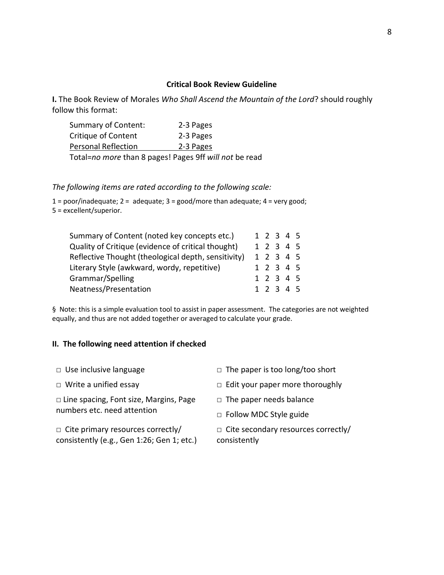### **Critical Book Review Guideline**

**I.** The Book Review of Morales *Who Shall Ascend the Mountain of the Lord*? should roughly follow this format:

| Summary of Content:        | 2-3 Pages |
|----------------------------|-----------|
| Critique of Content        | 2-3 Pages |
| <b>Personal Reflection</b> | 2-3 Pages |
|                            |           |

Total=*no more* than 8 pages! Pages 9ff *will not* be read

*The following items are rated according to the following scale:* 

 $1 = poor/inadequate; 2 = adequate; 3 = good/more than adequate; 4 = very good;$ 5 = excellent/superior.

| Summary of Content (noted key concepts etc.)        |  |  | 1 2 3 4 5 |  |
|-----------------------------------------------------|--|--|-----------|--|
| Quality of Critique (evidence of critical thought)  |  |  | 1 2 3 4 5 |  |
| Reflective Thought (theological depth, sensitivity) |  |  | 1 2 3 4 5 |  |
| Literary Style (awkward, wordy, repetitive)         |  |  | 1 2 3 4 5 |  |
| Grammar/Spelling                                    |  |  | 1 2 3 4 5 |  |
| Neatness/Presentation                               |  |  | 1 2 3 4 5 |  |

§ Note: this is a simple evaluation tool to assist in paper assessment. The categories are not weighted equally, and thus are not added together or averaged to calculate your grade.

### **II. The following need attention if checked**

| $\Box$ Use inclusive language                                                          | $\Box$ The paper is too long/too short                     |
|----------------------------------------------------------------------------------------|------------------------------------------------------------|
| $\Box$ Write a unified essay                                                           | $\Box$ Edit your paper more thoroughly                     |
| $\Box$ Line spacing, Font size, Margins, Page<br>numbers etc. need attention           | $\Box$ The paper needs balance                             |
|                                                                                        | $\Box$ Follow MDC Style guide                              |
| $\Box$ Cite primary resources correctly/<br>consistently (e.g., Gen 1:26; Gen 1; etc.) | $\Box$ Cite secondary resources correctly/<br>consistently |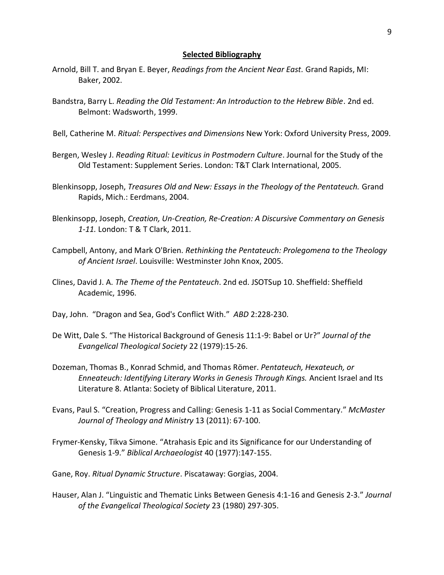#### **Selected Bibliography**

- Arnold, Bill T. and Bryan E. Beyer, *Readings from the Ancient Near East.* Grand Rapids, MI: Baker, 2002.
- Bandstra, Barry L. *Reading the Old Testament: An Introduction to the Hebrew Bible*. 2nd ed. Belmont: Wadsworth, 1999.
- Bell, Catherine M. *Ritual: Perspectives and Dimensions* New York: Oxford University Press, 2009.
- Bergen, Wesley J. *Reading Ritual: Leviticus in Postmodern Culture*. Journal for the Study of the Old Testament: Supplement Series. London: T&T Clark International, 2005.
- Blenkinsopp, Joseph, *Treasures Old and New: Essays in the Theology of the Pentateuch.* Grand Rapids, Mich.: Eerdmans, 2004.
- Blenkinsopp, Joseph, *Creation, Un-Creation, Re-Creation: A Discursive Commentary on Genesis 1-11.* London: T & T Clark, 2011.
- Campbell, Antony, and Mark O'Brien. *Rethinking the Pentateuch: Prolegomena to the Theology of Ancient Israel*. Louisville: Westminster John Knox, 2005.
- Clines, David J. A. *The Theme of the Pentateuch*. 2nd ed. JSOTSup 10. Sheffield: Sheffield Academic, 1996.
- Day, John. "Dragon and Sea, God's Conflict With." *ABD* 2:228-230.
- De Witt, Dale S. "The Historical Background of Genesis 11:1-9: Babel or Ur?" *Journal of the Evangelical Theological Society* 22 (1979):15-26.
- Dozeman, Thomas B., Konrad Schmid, and Thomas Römer. *Pentateuch, Hexateuch, or Enneateuch: Identifying Literary Works in Genesis Through Kings.* Ancient Israel and Its Literature 8. Atlanta: Society of Biblical Literature, 2011.
- Evans, Paul S. "Creation, Progress and Calling: Genesis 1-11 as Social Commentary." *McMaster Journal of Theology and Ministry* 13 (2011): 67-100.
- Frymer-Kensky, Tikva Simone. "Atrahasis Epic and its Significance for our Understanding of Genesis 1-9." *Biblical Archaeologist* 40 (1977):147-155.
- Gane, Roy. *Ritual Dynamic Structure*. Piscataway: Gorgias, 2004.
- Hauser, Alan J. "Linguistic and Thematic Links Between Genesis 4:1-16 and Genesis 2-3." *Journal of the Evangelical Theological Society* 23 (1980) 297-305.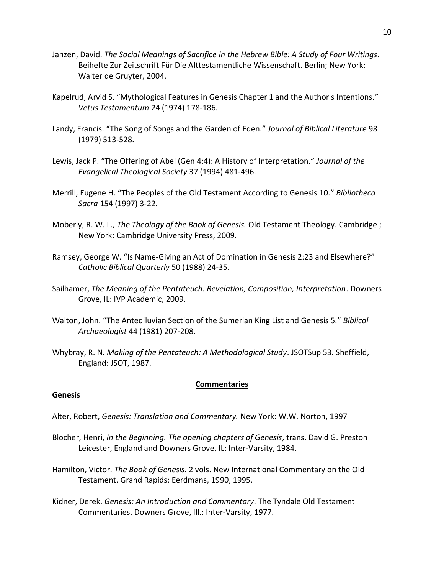- Janzen, David. *The Social Meanings of Sacrifice in the Hebrew Bible: A Study of Four Writings*. Beihefte Zur Zeitschrift Für Die Alttestamentliche Wissenschaft. Berlin; New York: Walter de Gruyter, 2004.
- Kapelrud, Arvid S. "Mythological Features in Genesis Chapter 1 and the Author's Intentions." *Vetus Testamentum* 24 (1974) 178-186.
- Landy, Francis. "The Song of Songs and the Garden of Eden." *Journal of Biblical Literature* 98 (1979) 513-528.
- Lewis, Jack P. "The Offering of Abel (Gen 4:4): A History of Interpretation." *Journal of the Evangelical Theological Society* 37 (1994) 481-496.
- Merrill, Eugene H. "The Peoples of the Old Testament According to Genesis 10." *Bibliotheca Sacra* 154 (1997) 3-22.
- Moberly, R. W. L., *The Theology of the Book of Genesis.* Old Testament Theology. Cambridge ; New York: Cambridge University Press, 2009.
- Ramsey, George W. "Is Name-Giving an Act of Domination in Genesis 2:23 and Elsewhere?" *Catholic Biblical Quarterly* 50 (1988) 24-35.
- Sailhamer, *The Meaning of the Pentateuch: Revelation, Composition, Interpretation*. Downers Grove, IL: IVP Academic, 2009.
- Walton, John. "The Antediluvian Section of the Sumerian King List and Genesis 5." *Biblical Archaeologist* 44 (1981) 207-208.
- Whybray, R. N. *Making of the Pentateuch: A Methodological Study*. JSOTSup 53. Sheffield, England: JSOT, 1987.

#### **Commentaries**

#### **Genesis**

- Alter, Robert, *Genesis: Translation and Commentary.* New York: W.W. Norton, 1997
- Blocher, Henri, *In the Beginning. The opening chapters of Genesis*, trans. David G. Preston Leicester, England and Downers Grove, IL: Inter-Varsity, 1984.
- Hamilton, Victor. *The Book of Genesis*. 2 vols. New International Commentary on the Old Testament. Grand Rapids: Eerdmans, 1990, 1995.
- Kidner, Derek. *Genesis: An Introduction and Commentary*. The Tyndale Old Testament Commentaries. Downers Grove, Ill.: Inter-Varsity, 1977.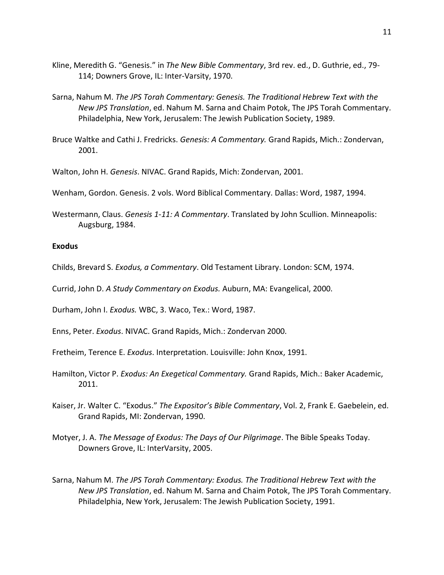- Kline, Meredith G. "Genesis." in *The New Bible Commentary*, 3rd rev. ed., D. Guthrie, ed., 79- 114; Downers Grove, IL: Inter-Varsity, 1970.
- Sarna, Nahum M. *The JPS Torah Commentary: Genesis. The Traditional Hebrew Text with the New JPS Translation*, ed. Nahum M. Sarna and Chaim Potok, The JPS Torah Commentary. Philadelphia, New York, Jerusalem: The Jewish Publication Society, 1989.
- Bruce Waltke and Cathi J. Fredricks. *Genesis: A Commentary.* Grand Rapids, Mich.: Zondervan, 2001.

Walton, John H. *Genesis*. NIVAC. Grand Rapids, Mich: Zondervan, 2001.

Wenham, Gordon. Genesis. 2 vols. Word Biblical Commentary. Dallas: Word, 1987, 1994.

Westermann, Claus. *Genesis 1-11: A Commentary*. Translated by John Scullion. Minneapolis: Augsburg, 1984.

### **Exodus**

Childs, Brevard S. *Exodus, a Commentary*. Old Testament Library. London: SCM, 1974.

Currid, John D. *A Study Commentary on Exodus.* Auburn, MA: Evangelical, 2000.

Durham, John I. *Exodus.* WBC, 3. Waco, Tex.: Word, 1987.

Enns, Peter. *Exodus*. NIVAC. Grand Rapids, Mich.: Zondervan 2000.

Fretheim, Terence E. *Exodus*. Interpretation. Louisville: John Knox, 1991.

- Hamilton, Victor P. *Exodus: An Exegetical Commentary.* Grand Rapids, Mich.: Baker Academic, 2011.
- Kaiser, Jr. Walter C. "Exodus." *The Expositor's Bible Commentary*, Vol. 2, Frank E. Gaebelein, ed. Grand Rapids, MI: Zondervan, 1990.
- Motyer, J. A. *The Message of Exodus: The Days of Our Pilgrimage*. The Bible Speaks Today. Downers Grove, IL: InterVarsity, 2005.
- Sarna, Nahum M. *The JPS Torah Commentary: Exodus. The Traditional Hebrew Text with the New JPS Translation*, ed. Nahum M. Sarna and Chaim Potok, The JPS Torah Commentary. Philadelphia, New York, Jerusalem: The Jewish Publication Society, 1991.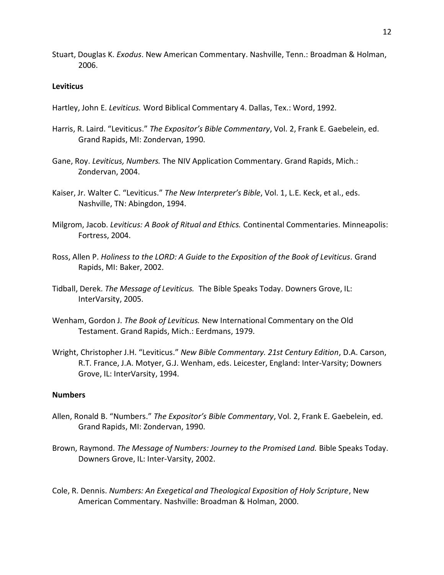Stuart, Douglas K. *Exodus*. New American Commentary. Nashville, Tenn.: Broadman & Holman, 2006.

#### **Leviticus**

- Hartley, John E. *Leviticus.* Word Biblical Commentary 4. Dallas, Tex.: Word, 1992.
- Harris, R. Laird. "Leviticus." *The Expositor's Bible Commentary*, Vol. 2, Frank E. Gaebelein, ed. Grand Rapids, MI: Zondervan, 1990.
- Gane, Roy. *Leviticus, Numbers.* The NIV Application Commentary. Grand Rapids, Mich.: Zondervan, 2004.
- Kaiser, Jr. Walter C. "Leviticus." *The New Interpreter's Bible*, Vol. 1, L.E. Keck, et al., eds. Nashville, TN: Abingdon, 1994.
- Milgrom, Jacob. *Leviticus: A Book of Ritual and Ethics.* Continental Commentaries. Minneapolis: Fortress, 2004.
- Ross, Allen P. *Holiness to the LORD: A Guide to the Exposition of the Book of Leviticus.* Grand Rapids, MI: Baker, 2002.
- Tidball, Derek. *The Message of Leviticus.* The Bible Speaks Today. Downers Grove, IL: InterVarsity, 2005.
- Wenham, Gordon J. *The Book of Leviticus.* New International Commentary on the Old Testament. Grand Rapids, Mich.: Eerdmans, 1979.
- Wright, Christopher J.H. "Leviticus." *New Bible Commentary. 21st Century Edition*, D.A. Carson, R.T. France, J.A. Motyer, G.J. Wenham, eds. Leicester, England: Inter-Varsity; Downers Grove, IL: InterVarsity, 1994.

### **Numbers**

- Allen, Ronald B. "Numbers." *The Expositor's Bible Commentary*, Vol. 2, Frank E. Gaebelein, ed. Grand Rapids, MI: Zondervan, 1990.
- Brown, Raymond. *The Message of Numbers: Journey to the Promised Land.* Bible Speaks Today. Downers Grove, IL: Inter-Varsity, 2002.
- Cole, R. Dennis. *Numbers: An Exegetical and Theological Exposition of Holy Scripture*, New American Commentary. Nashville: Broadman & Holman, 2000.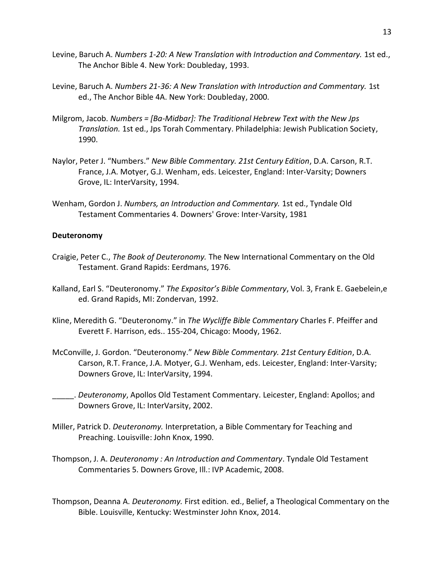- Levine, Baruch A. *Numbers 1-20: A New Translation with Introduction and Commentary.* 1st ed., The Anchor Bible 4. New York: Doubleday, 1993.
- Levine, Baruch A. *Numbers 21-36: A New Translation with Introduction and Commentary.* 1st ed., The Anchor Bible 4A. New York: Doubleday, 2000.
- Milgrom, Jacob. *Numbers = [Ba-Midbar]: The Traditional Hebrew Text with the New Jps Translation.* 1st ed., Jps Torah Commentary. Philadelphia: Jewish Publication Society, 1990.
- Naylor, Peter J. "Numbers." *New Bible Commentary. 21st Century Edition*, D.A. Carson, R.T. France, J.A. Motyer, G.J. Wenham, eds. Leicester, England: Inter-Varsity; Downers Grove, IL: InterVarsity, 1994.
- Wenham, Gordon J. *Numbers, an Introduction and Commentary.* 1st ed., Tyndale Old Testament Commentaries 4. Downers' Grove: Inter-Varsity, 1981

#### **Deuteronomy**

- Craigie, Peter C., *The Book of Deuteronomy.* The New International Commentary on the Old Testament. Grand Rapids: Eerdmans, 1976.
- Kalland, Earl S. "Deuteronomy." *The Expositor's Bible Commentary*, Vol. 3, Frank E. Gaebelein,e ed. Grand Rapids, MI: Zondervan, 1992.
- Kline, Meredith G. "Deuteronomy." in *The Wycliffe Bible Commentary* Charles F. Pfeiffer and Everett F. Harrison, eds.. 155-204, Chicago: Moody, 1962.
- McConville, J. Gordon. "Deuteronomy." *New Bible Commentary. 21st Century Edition*, D.A. Carson, R.T. France, J.A. Motyer, G.J. Wenham, eds. Leicester, England: Inter-Varsity; Downers Grove, IL: InterVarsity, 1994.
- \_\_\_\_\_. *Deuteronomy*, Apollos Old Testament Commentary. Leicester, England: Apollos; and Downers Grove, IL: InterVarsity, 2002.
- Miller, Patrick D. *Deuteronomy.* Interpretation, a Bible Commentary for Teaching and Preaching. Louisville: John Knox, 1990.
- Thompson, J. A. *Deuteronomy : An Introduction and Commentary*. Tyndale Old Testament Commentaries 5. Downers Grove, Ill.: IVP Academic, 2008.
- Thompson, Deanna A. *Deuteronomy.* First edition. ed., Belief, a Theological Commentary on the Bible. Louisville, Kentucky: Westminster John Knox, 2014.